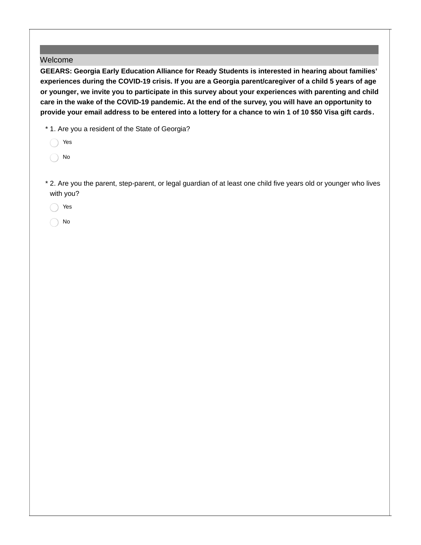## Welcome

**GEEARS: Georgia Early Education Alliance for Ready Students is interested in hearing about families'** experiences during the COVID-19 crisis. If you are a Georgia parent/caregiver of a child 5 years of age **or younger, we invite you to participate in this survey about your experiences with parenting and child** care in the wake of the COVID-19 pandemic. At the end of the survey, you will have an opportunity to provide your email address to be entered into a lottery for a chance to win 1 of 10 \$50 Visa gift cards.

\* 1. Are you a resident of the State of Georgia?

- Yes
- No
- 2. Are you the parent, step-parent, or legal guardian of at least one child five years old or younger who lives \* with you?
	- Yes
	- No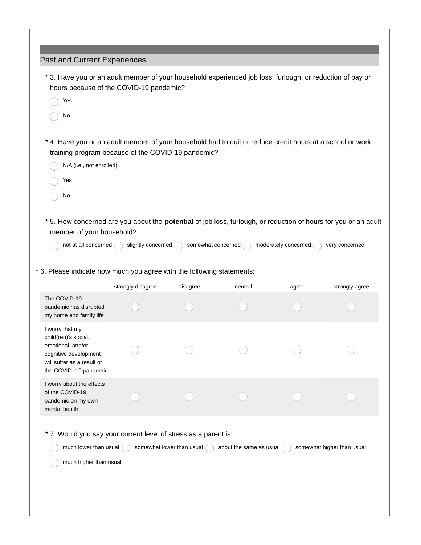| Past and Current Experiences<br>* 3. Have you or an adult member of your household experienced job loss, furlough, or reduction of pay or<br>hours because of the COVID-19 pandemic? |                    |                    |         |                      |                |
|--------------------------------------------------------------------------------------------------------------------------------------------------------------------------------------|--------------------|--------------------|---------|----------------------|----------------|
| Yes                                                                                                                                                                                  |                    |                    |         |                      |                |
| No                                                                                                                                                                                   |                    |                    |         |                      |                |
| * 4. Have you or an adult member of your household had to quit or reduce credit hours at a school or work<br>training program because of the COVID-19 pandemic?                      |                    |                    |         |                      |                |
| N/A (i.e., not enrolled)                                                                                                                                                             |                    |                    |         |                      |                |
| Yes                                                                                                                                                                                  |                    |                    |         |                      |                |
| No                                                                                                                                                                                   |                    |                    |         |                      |                |
| * 5. How concerned are you about the potential of job loss, furlough, or reduction of hours for you or an adult<br>member of your household?                                         |                    |                    |         |                      |                |
| not at all concerned (                                                                                                                                                               | slightly concerned | somewhat concerned |         | moderately concerned | very concerned |
| * 6. Please indicate how much you agree with the following statements:                                                                                                               |                    |                    |         |                      |                |
|                                                                                                                                                                                      | strongly disagree  | disagree           | neutral | agree                | strongly agree |
| The COVID-19<br>pandemic has disrupted<br>my home and family life                                                                                                                    |                    |                    |         |                      |                |
| I worry that my<br>child(ren)'s social,<br>emotional, and/or<br>cognitive development<br>will suffer as a result of<br>the COVID -19 pandemic                                        |                    |                    |         |                      |                |
| I worry about the effects<br>of the COVID-19<br>pandemic on my own<br>mental health                                                                                                  |                    |                    |         |                      |                |
| * 7. Would you say your current level of stress as a parent is:<br>much lower than usual<br>somewhat lower than usual<br>about the same as usual<br>somewhat higher than usual       |                    |                    |         |                      |                |
| much higher than usual                                                                                                                                                               |                    |                    |         |                      |                |
|                                                                                                                                                                                      |                    |                    |         |                      |                |
|                                                                                                                                                                                      |                    |                    |         |                      |                |
|                                                                                                                                                                                      |                    |                    |         |                      |                |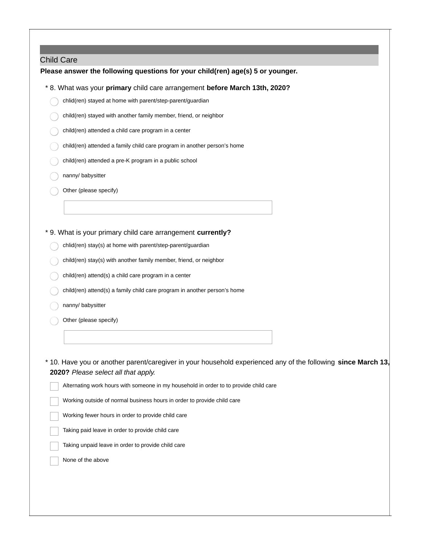#### Child Care

### **Please answer the following questions for your child(ren) age(s) 5 or younger.**

- \* 8. What was your **primary** child care arrangement **before March 13th, 2020?**
	- chlid(ren) stayed at home with parent/step-parent/guardian
	- child(ren) stayed with another family member, friend, or neighbor
	- child(ren) attended a child care program in a center
	- child(ren) attended a family child care program in another person's home
	- child(ren) attended a pre-K program in a public school
	- nanny/ babysitter
	- Other (please specify)

### \* 9. What is your primary child care arrangement **currently?**

- chlid(ren) stay(s) at home with parent/step-parent/guardian
- child(ren) stay(s) with another family member, friend, or neighbor
- child(ren) attend(s) a child care program in a center
- child(ren) attend(s) a family child care program in another person's home
- nanny/ babysitter
- Other (please specify)

10. Have you or another parent/caregiver in your household experienced any of the following **since March 13,** \* **2020?** *Please select all that apply.*

|  |  |  |  | $\overline{\phantom{a}}$ Alternating work hours with someone in my household in order to to provide child care |
|--|--|--|--|----------------------------------------------------------------------------------------------------------------|
|--|--|--|--|----------------------------------------------------------------------------------------------------------------|

- Working outside of normal business hours in order to provide child care
- Working fewer hours in order to provide child care
- Taking paid leave in order to provide child care
- Taking unpaid leave in order to provide child care
- None of the above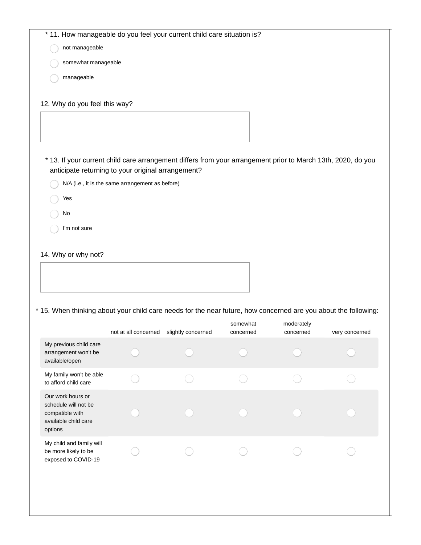| * 11. How manageable do you feel your current child care situation is?                                          |                                                  |                    |           |            |                |
|-----------------------------------------------------------------------------------------------------------------|--------------------------------------------------|--------------------|-----------|------------|----------------|
| not manageable                                                                                                  |                                                  |                    |           |            |                |
| somewhat manageable                                                                                             |                                                  |                    |           |            |                |
| manageable                                                                                                      |                                                  |                    |           |            |                |
|                                                                                                                 |                                                  |                    |           |            |                |
| 12. Why do you feel this way?                                                                                   |                                                  |                    |           |            |                |
|                                                                                                                 |                                                  |                    |           |            |                |
|                                                                                                                 |                                                  |                    |           |            |                |
|                                                                                                                 |                                                  |                    |           |            |                |
| * 13. If your current child care arrangement differs from your arrangement prior to March 13th, 2020, do you    |                                                  |                    |           |            |                |
| anticipate returning to your original arrangement?                                                              |                                                  |                    |           |            |                |
|                                                                                                                 | N/A (i.e., it is the same arrangement as before) |                    |           |            |                |
| Yes                                                                                                             |                                                  |                    |           |            |                |
| No                                                                                                              |                                                  |                    |           |            |                |
| I'm not sure                                                                                                    |                                                  |                    |           |            |                |
|                                                                                                                 |                                                  |                    |           |            |                |
| 14. Why or why not?                                                                                             |                                                  |                    |           |            |                |
|                                                                                                                 |                                                  |                    |           |            |                |
|                                                                                                                 |                                                  |                    |           |            |                |
|                                                                                                                 |                                                  |                    |           |            |                |
| * 15. When thinking about your child care needs for the near future, how concerned are you about the following: |                                                  |                    |           |            |                |
|                                                                                                                 |                                                  |                    | somewhat  | moderately |                |
|                                                                                                                 | not at all concerned                             | slightly concerned | concerned | concerned  | very concerned |
| My previous child care<br>arrangement won't be                                                                  |                                                  |                    |           |            |                |
| available/open                                                                                                  |                                                  |                    |           |            |                |
| My family won't be able<br>to afford child care                                                                 |                                                  |                    |           |            |                |
| Our work hours or                                                                                               |                                                  |                    |           |            |                |
| schedule will not be                                                                                            |                                                  |                    |           |            |                |
| compatible with<br>available child care                                                                         |                                                  |                    |           |            |                |
| options                                                                                                         |                                                  |                    |           |            |                |
| My child and family will                                                                                        |                                                  |                    |           |            |                |
| be more likely to be<br>exposed to COVID-19                                                                     |                                                  |                    |           |            |                |
|                                                                                                                 |                                                  |                    |           |            |                |
|                                                                                                                 |                                                  |                    |           |            |                |
|                                                                                                                 |                                                  |                    |           |            |                |
|                                                                                                                 |                                                  |                    |           |            |                |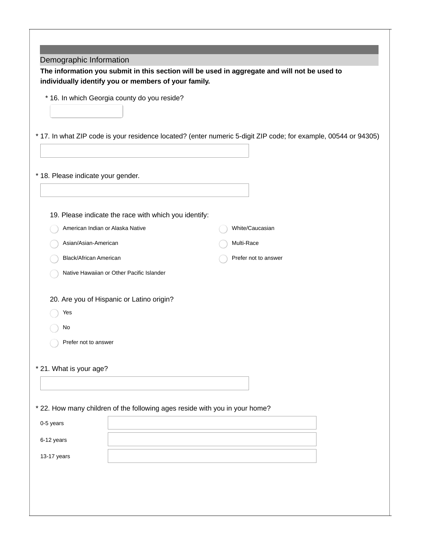| Demographic Information            |                                                                             |                                                                                                                 |
|------------------------------------|-----------------------------------------------------------------------------|-----------------------------------------------------------------------------------------------------------------|
|                                    |                                                                             | The information you submit in this section will be used in aggregate and will not be used to                    |
|                                    | individually identify you or members of your family.                        |                                                                                                                 |
|                                    | * 16. In which Georgia county do you reside?                                |                                                                                                                 |
|                                    |                                                                             |                                                                                                                 |
|                                    |                                                                             |                                                                                                                 |
|                                    |                                                                             | * 17. In what ZIP code is your residence located? (enter numeric 5-digit ZIP code; for example, 00544 or 94305) |
|                                    |                                                                             |                                                                                                                 |
| * 18. Please indicate your gender. |                                                                             |                                                                                                                 |
|                                    |                                                                             |                                                                                                                 |
|                                    |                                                                             |                                                                                                                 |
|                                    | 19. Please indicate the race with which you identify:                       |                                                                                                                 |
|                                    | American Indian or Alaska Native                                            | White/Caucasian                                                                                                 |
| Asian/Asian-American               |                                                                             | Multi-Race                                                                                                      |
| Black/African American             |                                                                             | Prefer not to answer                                                                                            |
|                                    | Native Hawaiian or Other Pacific Islander                                   |                                                                                                                 |
|                                    |                                                                             |                                                                                                                 |
|                                    | 20. Are you of Hispanic or Latino origin?                                   |                                                                                                                 |
| Yes                                |                                                                             |                                                                                                                 |
| No                                 |                                                                             |                                                                                                                 |
| Prefer not to answer               |                                                                             |                                                                                                                 |
|                                    |                                                                             |                                                                                                                 |
| * 21. What is your age?            |                                                                             |                                                                                                                 |
|                                    |                                                                             |                                                                                                                 |
|                                    |                                                                             |                                                                                                                 |
|                                    | * 22. How many children of the following ages reside with you in your home? |                                                                                                                 |
| 0-5 years                          |                                                                             |                                                                                                                 |
| 6-12 years                         |                                                                             |                                                                                                                 |
| 13-17 years                        |                                                                             |                                                                                                                 |
|                                    |                                                                             |                                                                                                                 |
|                                    |                                                                             |                                                                                                                 |
|                                    |                                                                             |                                                                                                                 |
|                                    |                                                                             |                                                                                                                 |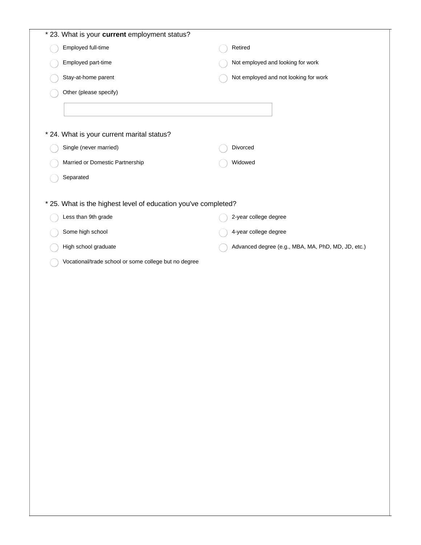| * 23. What is your current employment status?                  |                                                    |
|----------------------------------------------------------------|----------------------------------------------------|
| Employed full-time                                             | Retired                                            |
| Employed part-time                                             | Not employed and looking for work                  |
| Stay-at-home parent                                            | Not employed and not looking for work              |
| Other (please specify)                                         |                                                    |
|                                                                |                                                    |
|                                                                |                                                    |
| * 24. What is your current marital status?                     |                                                    |
| Single (never married)                                         | Divorced                                           |
| Married or Domestic Partnership                                | Widowed                                            |
| Separated                                                      |                                                    |
|                                                                |                                                    |
| * 25. What is the highest level of education you've completed? |                                                    |
| Less than 9th grade                                            | 2-year college degree                              |
| Some high school                                               | 4-year college degree                              |
| High school graduate                                           | Advanced degree (e.g., MBA, MA, PhD, MD, JD, etc.) |
| Vocational/trade school or some college but no degree          |                                                    |
|                                                                |                                                    |
|                                                                |                                                    |
|                                                                |                                                    |
|                                                                |                                                    |
|                                                                |                                                    |
|                                                                |                                                    |
|                                                                |                                                    |
|                                                                |                                                    |
|                                                                |                                                    |
|                                                                |                                                    |
|                                                                |                                                    |
|                                                                |                                                    |
|                                                                |                                                    |
|                                                                |                                                    |
|                                                                |                                                    |
|                                                                |                                                    |
|                                                                |                                                    |